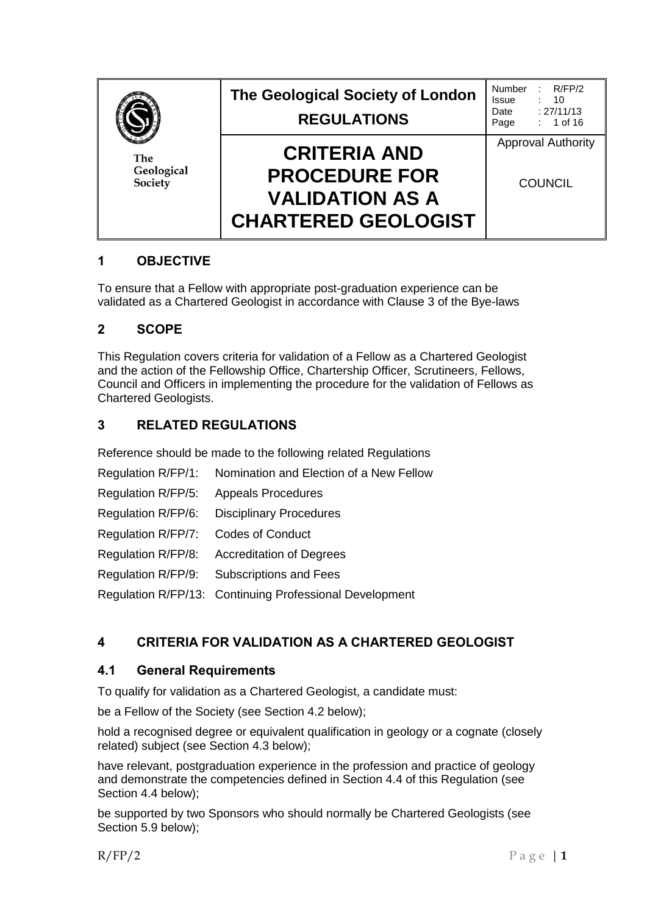| The<br>Geological<br>Society | The Geological Society of London<br><b>REGULATIONS</b>                                              | Number<br>R/FP/2<br>Issue<br>: 10<br>: 27/11/13<br>Date<br>$: 1$ of 16<br>Page |
|------------------------------|-----------------------------------------------------------------------------------------------------|--------------------------------------------------------------------------------|
|                              | <b>CRITERIA AND</b><br><b>PROCEDURE FOR</b><br><b>VALIDATION AS A</b><br><b>CHARTERED GEOLOGIST</b> | <b>Approval Authority</b><br><b>COUNCIL</b>                                    |

### **1 OBJECTIVE**

To ensure that a Fellow with appropriate post-graduation experience can be validated as a Chartered Geologist in accordance with Clause 3 of the Bye-laws

### **2 SCOPE**

This Regulation covers criteria for validation of a Fellow as a Chartered Geologist and the action of the Fellowship Office, Chartership Officer, Scrutineers, Fellows, Council and Officers in implementing the procedure for the validation of Fellows as Chartered Geologists.

### **3 RELATED REGULATIONS**

Reference should be made to the following related Regulations

- Regulation R/FP/1: Nomination and Election of a New Fellow
- Regulation R/FP/5: Appeals Procedures
- Regulation R/FP/6: Disciplinary Procedures
- Regulation R/FP/7: Codes of Conduct
- Regulation R/FP/8: Accreditation of Degrees
- Regulation R/FP/9: Subscriptions and Fees

Regulation R/FP/13: Continuing Professional Development

### **4 CRITERIA FOR VALIDATION AS A CHARTERED GEOLOGIST**

#### **4.1 General Requirements**

To qualify for validation as a Chartered Geologist, a candidate must:

be a Fellow of the Society (see Section 4.2 below);

hold a recognised degree or equivalent qualification in geology or a cognate (closely related) subject (see Section 4.3 below);

have relevant, postgraduation experience in the profession and practice of geology and demonstrate the competencies defined in Section 4.4 of this Regulation (see Section 4.4 below);

be supported by two Sponsors who should normally be Chartered Geologists (see Section 5.9 below);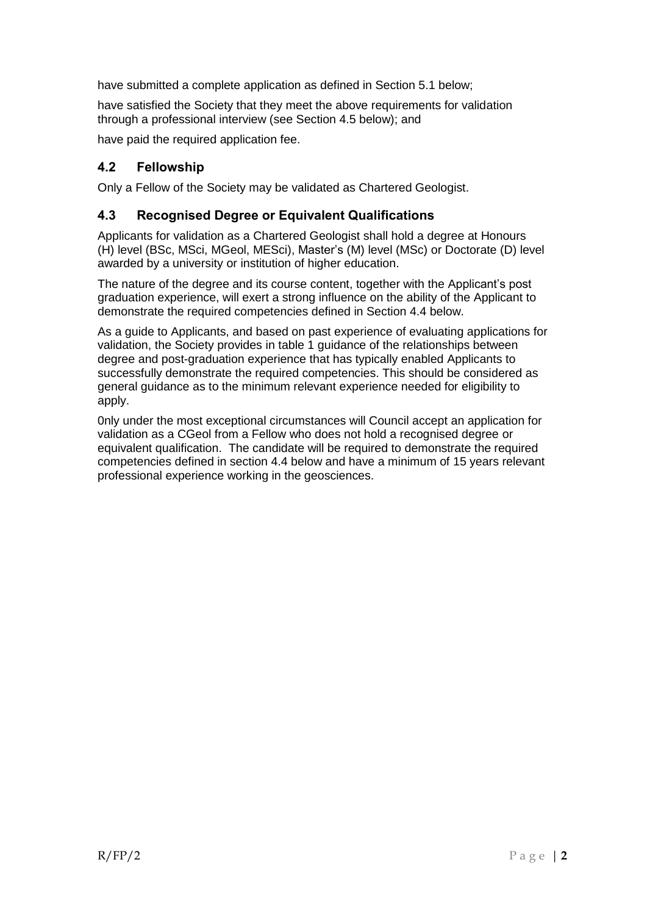have submitted a complete application as defined in Section 5.1 below;

have satisfied the Society that they meet the above requirements for validation through a professional interview (see Section 4.5 below); and

have paid the required application fee.

### **4.2 Fellowship**

Only a Fellow of the Society may be validated as Chartered Geologist.

### **4.3 Recognised Degree or Equivalent Qualifications**

Applicants for validation as a Chartered Geologist shall hold a degree at Honours (H) level (BSc, MSci, MGeol, MESci), Master's (M) level (MSc) or Doctorate (D) level awarded by a university or institution of higher education.

The nature of the degree and its course content, together with the Applicant's post graduation experience, will exert a strong influence on the ability of the Applicant to demonstrate the required competencies defined in Section 4.4 below.

As a guide to Applicants, and based on past experience of evaluating applications for validation, the Society provides in table 1 guidance of the relationships between degree and post-graduation experience that has typically enabled Applicants to successfully demonstrate the required competencies. This should be considered as general guidance as to the minimum relevant experience needed for eligibility to apply.

0nly under the most exceptional circumstances will Council accept an application for validation as a CGeol from a Fellow who does not hold a recognised degree or equivalent qualification. The candidate will be required to demonstrate the required competencies defined in section 4.4 below and have a minimum of 15 years relevant professional experience working in the geosciences.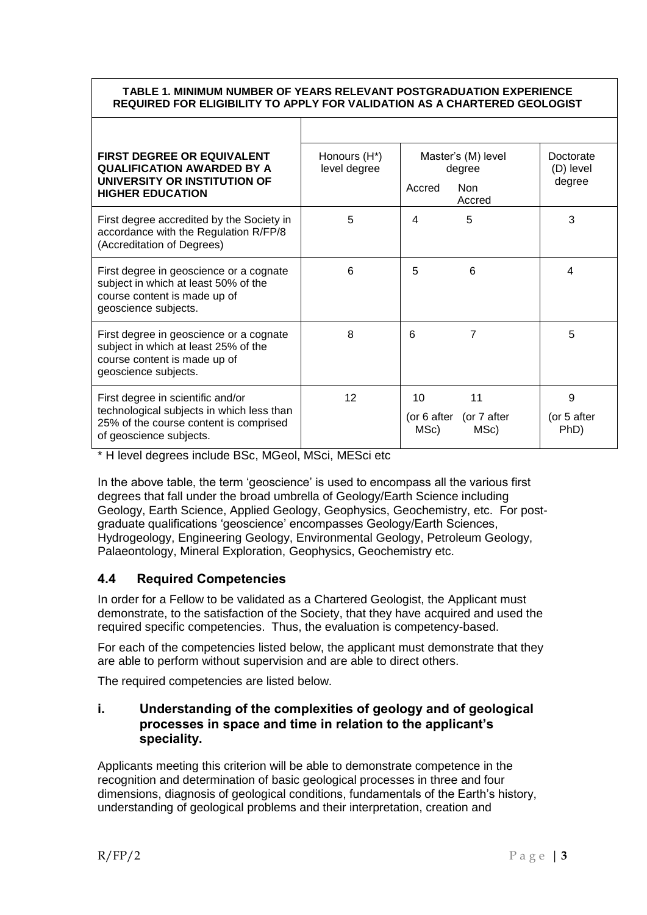#### **TABLE 1. MINIMUM NUMBER OF YEARS RELEVANT POSTGRADUATION EXPERIENCE REQUIRED FOR ELIGIBILITY TO APPLY FOR VALIDATION AS A CHARTERED GEOLOGIST**

| <b>FIRST DEGREE OR EQUIVALENT</b><br><b>QUALIFICATION AWARDED BY A</b><br>UNIVERSITY OR INSTITUTION OF<br><b>HIGHER EDUCATION</b>                   | Honours (H*)<br>level degree | Master's (M) level<br>degree<br>Accred<br><b>Non</b><br>Accred | Doctorate<br>(D) level<br>degree |
|-----------------------------------------------------------------------------------------------------------------------------------------------------|------------------------------|----------------------------------------------------------------|----------------------------------|
| First degree accredited by the Society in<br>accordance with the Regulation R/FP/8<br>(Accreditation of Degrees)                                    | 5                            | 5<br>4                                                         | 3                                |
| First degree in geoscience or a cognate<br>subject in which at least 50% of the<br>course content is made up of<br>geoscience subjects.             | 6                            | 6<br>5                                                         | 4                                |
| First degree in geoscience or a cognate<br>subject in which at least 25% of the<br>course content is made up of<br>geoscience subjects.             | 8                            | 6<br>7                                                         | 5                                |
| First degree in scientific and/or<br>technological subjects in which less than<br>25% of the course content is comprised<br>of geoscience subjects. | 12                           | 11<br>10<br>(or 6 after (or 7 after<br>MSc)<br>MSc)            | 9<br>(or 5 after<br>PhD)         |

\* H level degrees include BSc, MGeol, MSci, MESci etc

In the above table, the term 'geoscience' is used to encompass all the various first degrees that fall under the broad umbrella of Geology/Earth Science including Geology, Earth Science, Applied Geology, Geophysics, Geochemistry, etc. For postgraduate qualifications 'geoscience' encompasses Geology/Earth Sciences, Hydrogeology, Engineering Geology, Environmental Geology, Petroleum Geology, Palaeontology, Mineral Exploration, Geophysics, Geochemistry etc.

### **4.4 Required Competencies**

In order for a Fellow to be validated as a Chartered Geologist, the Applicant must demonstrate, to the satisfaction of the Society, that they have acquired and used the required specific competencies. Thus, the evaluation is competency-based.

For each of the competencies listed below, the applicant must demonstrate that they are able to perform without supervision and are able to direct others.

The required competencies are listed below.

#### **i. Understanding of the complexities of geology and of geological processes in space and time in relation to the applicant's speciality.**

Applicants meeting this criterion will be able to demonstrate competence in the recognition and determination of basic geological processes in three and four dimensions, diagnosis of geological conditions, fundamentals of the Earth's history, understanding of geological problems and their interpretation, creation and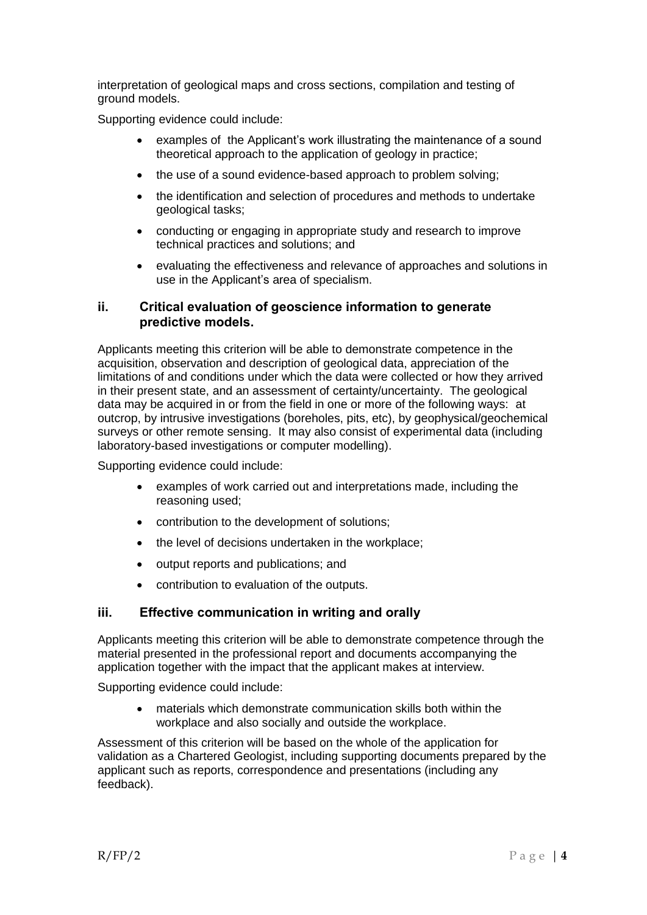interpretation of geological maps and cross sections, compilation and testing of ground models.

Supporting evidence could include:

- examples of the Applicant's work illustrating the maintenance of a sound theoretical approach to the application of geology in practice;
- the use of a sound evidence-based approach to problem solving;
- the identification and selection of procedures and methods to undertake geological tasks;
- conducting or engaging in appropriate study and research to improve technical practices and solutions; and
- evaluating the effectiveness and relevance of approaches and solutions in use in the Applicant's area of specialism.

#### **ii. Critical evaluation of geoscience information to generate predictive models.**

Applicants meeting this criterion will be able to demonstrate competence in the acquisition, observation and description of geological data, appreciation of the limitations of and conditions under which the data were collected or how they arrived in their present state, and an assessment of certainty/uncertainty. The geological data may be acquired in or from the field in one or more of the following ways: at outcrop, by intrusive investigations (boreholes, pits, etc), by geophysical/geochemical surveys or other remote sensing. It may also consist of experimental data (including laboratory-based investigations or computer modelling).

Supporting evidence could include:

- examples of work carried out and interpretations made, including the reasoning used;
- contribution to the development of solutions;
- the level of decisions undertaken in the workplace;
- output reports and publications; and
- contribution to evaluation of the outputs.

### **iii. Effective communication in writing and orally**

Applicants meeting this criterion will be able to demonstrate competence through the material presented in the professional report and documents accompanying the application together with the impact that the applicant makes at interview.

Supporting evidence could include:

 materials which demonstrate communication skills both within the workplace and also socially and outside the workplace.

Assessment of this criterion will be based on the whole of the application for validation as a Chartered Geologist, including supporting documents prepared by the applicant such as reports, correspondence and presentations (including any feedback).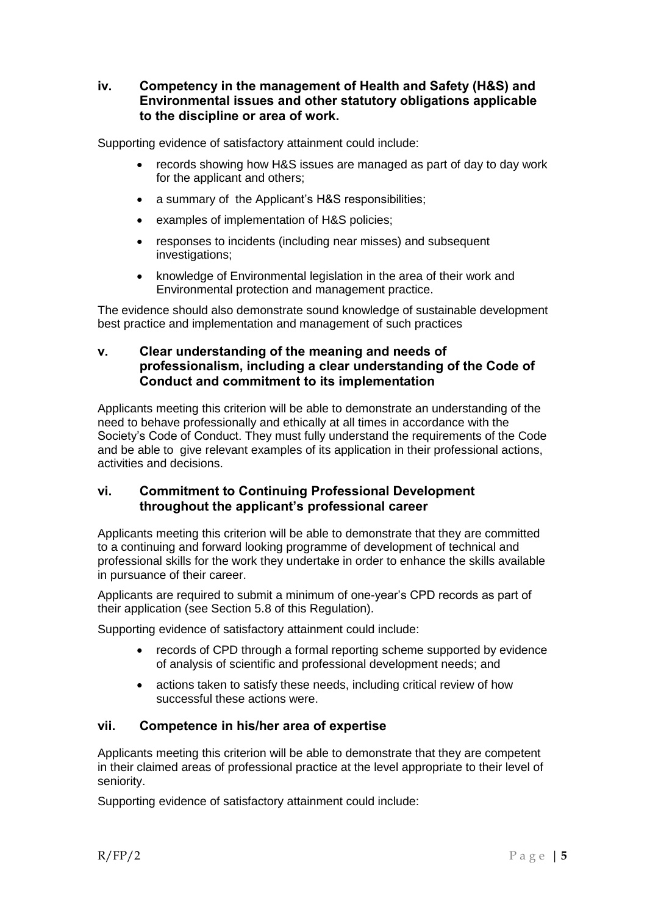### **iv. Competency in the management of Health and Safety (H&S) and Environmental issues and other statutory obligations applicable to the discipline or area of work.**

Supporting evidence of satisfactory attainment could include:

- records showing how H&S issues are managed as part of day to day work for the applicant and others;
- a summary of the Applicant's H&S responsibilities;
- examples of implementation of H&S policies;
- responses to incidents (including near misses) and subsequent investigations;
- knowledge of Environmental legislation in the area of their work and Environmental protection and management practice.

The evidence should also demonstrate sound knowledge of sustainable development best practice and implementation and management of such practices

#### **v. Clear understanding of the meaning and needs of professionalism, including a clear understanding of the Code of Conduct and commitment to its implementation**

Applicants meeting this criterion will be able to demonstrate an understanding of the need to behave professionally and ethically at all times in accordance with the Society's Code of Conduct. They must fully understand the requirements of the Code and be able to give relevant examples of its application in their professional actions, activities and decisions.

### **vi. Commitment to Continuing Professional Development throughout the applicant's professional career**

Applicants meeting this criterion will be able to demonstrate that they are committed to a continuing and forward looking programme of development of technical and professional skills for the work they undertake in order to enhance the skills available in pursuance of their career.

Applicants are required to submit a minimum of one-year's CPD records as part of their application (see Section 5.8 of this Regulation).

Supporting evidence of satisfactory attainment could include:

- records of CPD through a formal reporting scheme supported by evidence of analysis of scientific and professional development needs; and
- actions taken to satisfy these needs, including critical review of how successful these actions were.

### **vii. Competence in his/her area of expertise**

Applicants meeting this criterion will be able to demonstrate that they are competent in their claimed areas of professional practice at the level appropriate to their level of seniority.

Supporting evidence of satisfactory attainment could include: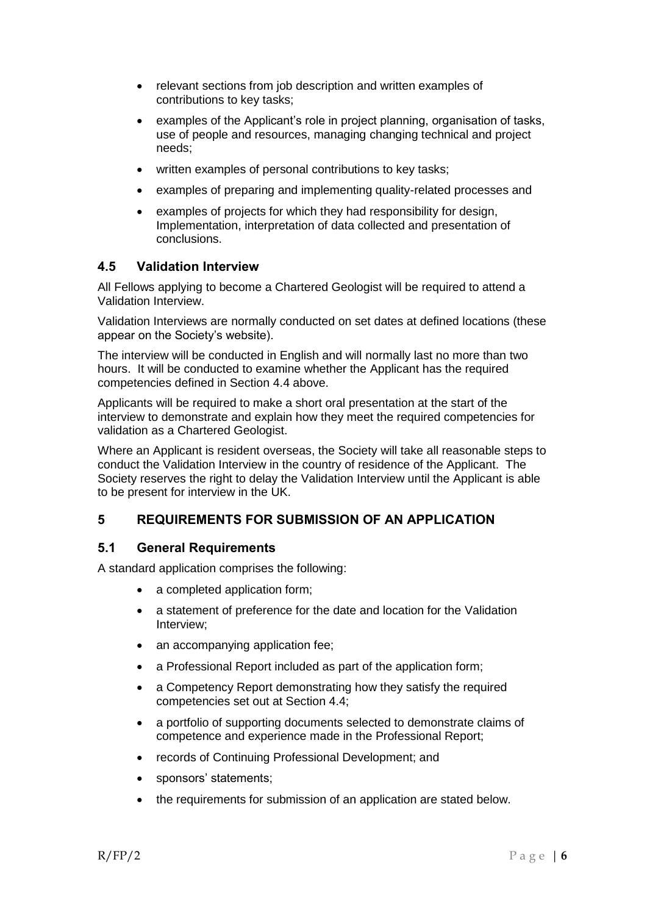- relevant sections from job description and written examples of contributions to key tasks;
- examples of the Applicant's role in project planning, organisation of tasks, use of people and resources, managing changing technical and project needs;
- written examples of personal contributions to key tasks;
- examples of preparing and implementing quality-related processes and
- examples of projects for which they had responsibility for design, Implementation, interpretation of data collected and presentation of conclusions.

### **4.5 Validation Interview**

All Fellows applying to become a Chartered Geologist will be required to attend a Validation Interview.

Validation Interviews are normally conducted on set dates at defined locations (these appear on the Society's website).

The interview will be conducted in English and will normally last no more than two hours. It will be conducted to examine whether the Applicant has the required competencies defined in Section 4.4 above.

Applicants will be required to make a short oral presentation at the start of the interview to demonstrate and explain how they meet the required competencies for validation as a Chartered Geologist.

Where an Applicant is resident overseas, the Society will take all reasonable steps to conduct the Validation Interview in the country of residence of the Applicant. The Society reserves the right to delay the Validation Interview until the Applicant is able to be present for interview in the UK.

### **5 REQUIREMENTS FOR SUBMISSION OF AN APPLICATION**

#### **5.1 General Requirements**

A standard application comprises the following:

- a completed application form;
- a statement of preference for the date and location for the Validation Interview;
- an accompanying application fee;
- a Professional Report included as part of the application form;
- a Competency Report demonstrating how they satisfy the required competencies set out at Section 4.4;
- a portfolio of supporting documents selected to demonstrate claims of competence and experience made in the Professional Report;
- records of Continuing Professional Development; and
- sponsors' statements;
- the requirements for submission of an application are stated below.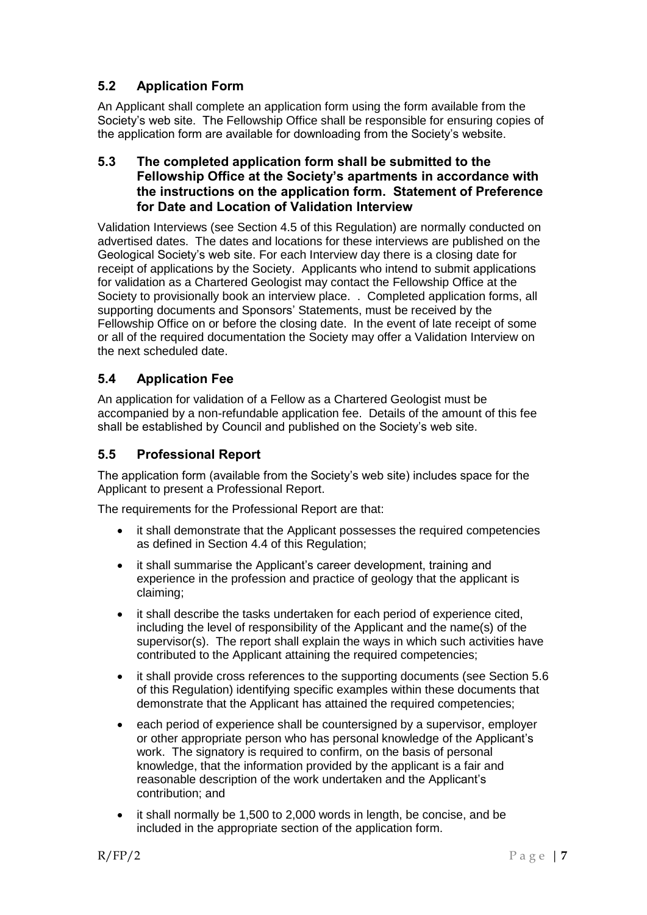# **5.2 Application Form**

An Applicant shall complete an application form using the form available from the Society's web site. The Fellowship Office shall be responsible for ensuring copies of the application form are available for downloading from the Society's website.

#### **5.3 The completed application form shall be submitted to the Fellowship Office at the Society's apartments in accordance with the instructions on the application form. Statement of Preference for Date and Location of Validation Interview**

Validation Interviews (see Section 4.5 of this Regulation) are normally conducted on advertised dates. The dates and locations for these interviews are published on the Geological Society's web site. For each Interview day there is a closing date for receipt of applications by the Society. Applicants who intend to submit applications for validation as a Chartered Geologist may contact the Fellowship Office at the Society to provisionally book an interview place. . Completed application forms, all supporting documents and Sponsors' Statements, must be received by the Fellowship Office on or before the closing date. In the event of late receipt of some or all of the required documentation the Society may offer a Validation Interview on the next scheduled date.

# **5.4 Application Fee**

An application for validation of a Fellow as a Chartered Geologist must be accompanied by a non-refundable application fee. Details of the amount of this fee shall be established by Council and published on the Society's web site.

### **5.5 Professional Report**

The application form (available from the Society's web site) includes space for the Applicant to present a Professional Report.

The requirements for the Professional Report are that:

- it shall demonstrate that the Applicant possesses the required competencies as defined in Section 4.4 of this Regulation;
- it shall summarise the Applicant's career development, training and experience in the profession and practice of geology that the applicant is claiming;
- it shall describe the tasks undertaken for each period of experience cited, including the level of responsibility of the Applicant and the name(s) of the supervisor(s). The report shall explain the ways in which such activities have contributed to the Applicant attaining the required competencies;
- it shall provide cross references to the supporting documents (see Section 5.6 of this Regulation) identifying specific examples within these documents that demonstrate that the Applicant has attained the required competencies;
- each period of experience shall be countersigned by a supervisor, employer or other appropriate person who has personal knowledge of the Applicant's work. The signatory is required to confirm, on the basis of personal knowledge, that the information provided by the applicant is a fair and reasonable description of the work undertaken and the Applicant's contribution; and
- it shall normally be 1,500 to 2,000 words in length, be concise, and be included in the appropriate section of the application form.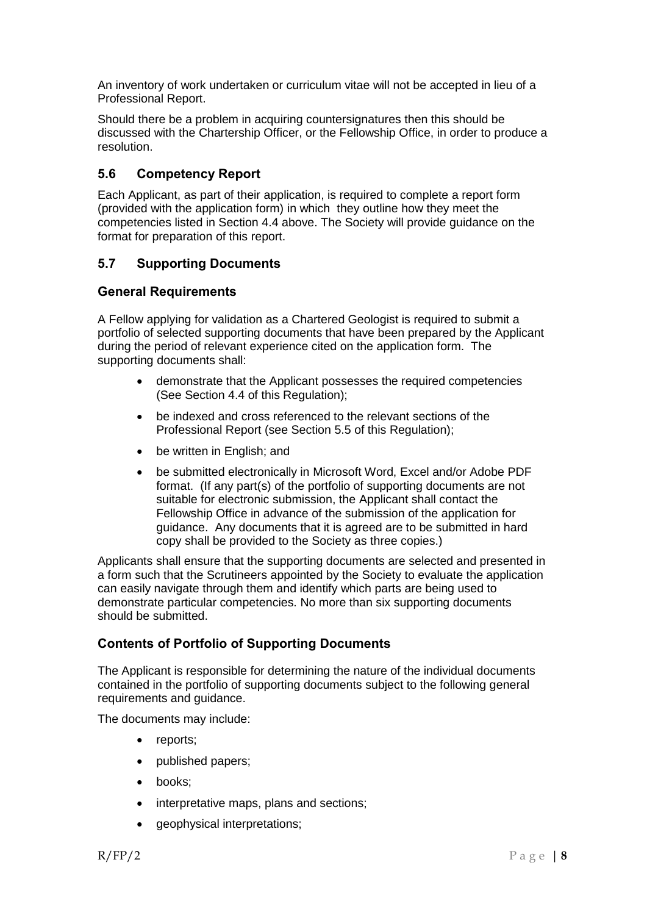An inventory of work undertaken or curriculum vitae will not be accepted in lieu of a Professional Report.

Should there be a problem in acquiring countersignatures then this should be discussed with the Chartership Officer, or the Fellowship Office, in order to produce a resolution.

### **5.6 Competency Report**

Each Applicant, as part of their application, is required to complete a report form (provided with the application form) in which they outline how they meet the competencies listed in Section 4.4 above. The Society will provide guidance on the format for preparation of this report.

### **5.7 Supporting Documents**

#### **General Requirements**

A Fellow applying for validation as a Chartered Geologist is required to submit a portfolio of selected supporting documents that have been prepared by the Applicant during the period of relevant experience cited on the application form. The supporting documents shall:

- demonstrate that the Applicant possesses the required competencies (See Section 4.4 of this Regulation);
- be indexed and cross referenced to the relevant sections of the Professional Report (see Section 5.5 of this Regulation);
- be written in English; and
- be submitted electronically in Microsoft Word, Excel and/or Adobe PDF format. (If any part(s) of the portfolio of supporting documents are not suitable for electronic submission, the Applicant shall contact the Fellowship Office in advance of the submission of the application for guidance. Any documents that it is agreed are to be submitted in hard copy shall be provided to the Society as three copies.)

Applicants shall ensure that the supporting documents are selected and presented in a form such that the Scrutineers appointed by the Society to evaluate the application can easily navigate through them and identify which parts are being used to demonstrate particular competencies. No more than six supporting documents should be submitted.

### **Contents of Portfolio of Supporting Documents**

The Applicant is responsible for determining the nature of the individual documents contained in the portfolio of supporting documents subject to the following general requirements and guidance.

The documents may include:

- reports;
- published papers;
- books;
- interpretative maps, plans and sections;
- geophysical interpretations;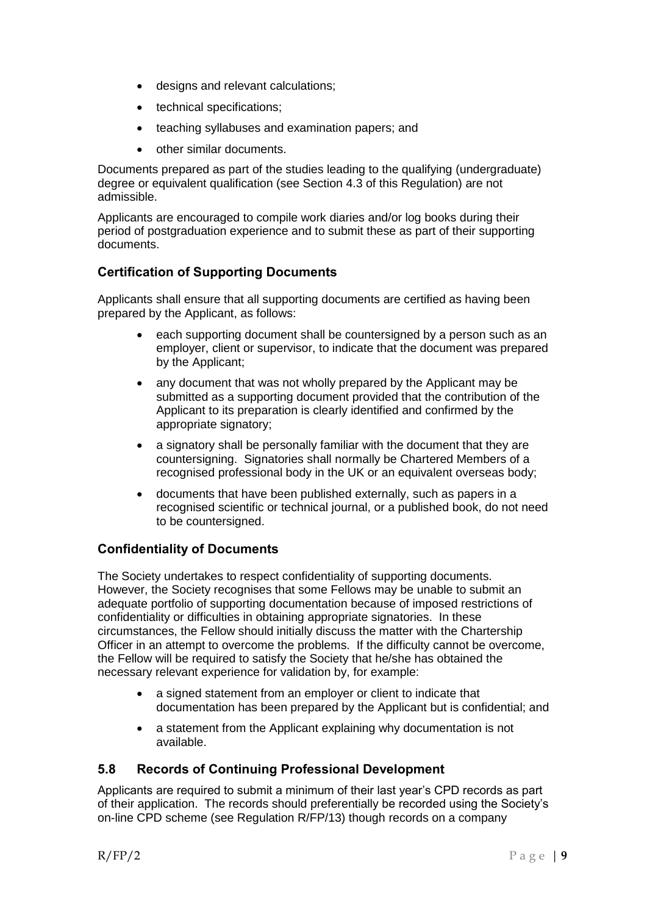- designs and relevant calculations;
- technical specifications;
- teaching syllabuses and examination papers; and
- other similar documents.

Documents prepared as part of the studies leading to the qualifying (undergraduate) degree or equivalent qualification (see Section 4.3 of this Regulation) are not admissible.

Applicants are encouraged to compile work diaries and/or log books during their period of postgraduation experience and to submit these as part of their supporting documents.

### **Certification of Supporting Documents**

Applicants shall ensure that all supporting documents are certified as having been prepared by the Applicant, as follows:

- each supporting document shall be countersigned by a person such as an employer, client or supervisor, to indicate that the document was prepared by the Applicant;
- any document that was not wholly prepared by the Applicant may be submitted as a supporting document provided that the contribution of the Applicant to its preparation is clearly identified and confirmed by the appropriate signatory;
- a signatory shall be personally familiar with the document that they are countersigning. Signatories shall normally be Chartered Members of a recognised professional body in the UK or an equivalent overseas body;
- documents that have been published externally, such as papers in a recognised scientific or technical journal, or a published book, do not need to be countersigned.

### **Confidentiality of Documents**

The Society undertakes to respect confidentiality of supporting documents. However, the Society recognises that some Fellows may be unable to submit an adequate portfolio of supporting documentation because of imposed restrictions of confidentiality or difficulties in obtaining appropriate signatories. In these circumstances, the Fellow should initially discuss the matter with the Chartership Officer in an attempt to overcome the problems. If the difficulty cannot be overcome, the Fellow will be required to satisfy the Society that he/she has obtained the necessary relevant experience for validation by, for example:

- a signed statement from an employer or client to indicate that documentation has been prepared by the Applicant but is confidential; and
- a statement from the Applicant explaining why documentation is not available.

### **5.8 Records of Continuing Professional Development**

Applicants are required to submit a minimum of their last year's CPD records as part of their application. The records should preferentially be recorded using the Society's on-line CPD scheme (see Regulation R/FP/13) though records on a company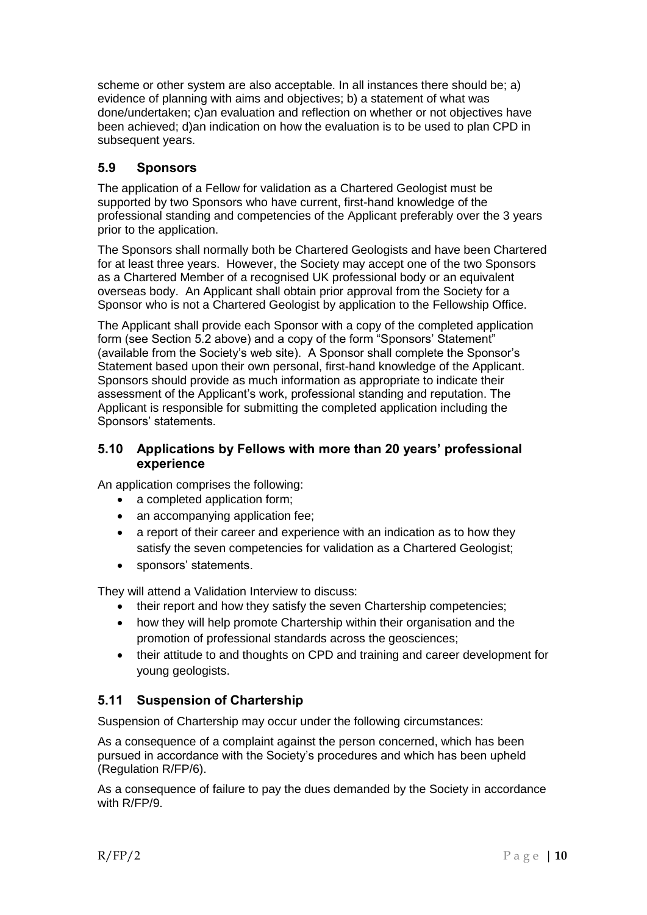scheme or other system are also acceptable. In all instances there should be; a) evidence of planning with aims and objectives; b) a statement of what was done/undertaken; c)an evaluation and reflection on whether or not objectives have been achieved; d)an indication on how the evaluation is to be used to plan CPD in subsequent years.

### **5.9 Sponsors**

The application of a Fellow for validation as a Chartered Geologist must be supported by two Sponsors who have current, first-hand knowledge of the professional standing and competencies of the Applicant preferably over the 3 years prior to the application.

The Sponsors shall normally both be Chartered Geologists and have been Chartered for at least three years. However, the Society may accept one of the two Sponsors as a Chartered Member of a recognised UK professional body or an equivalent overseas body. An Applicant shall obtain prior approval from the Society for a Sponsor who is not a Chartered Geologist by application to the Fellowship Office.

The Applicant shall provide each Sponsor with a copy of the completed application form (see Section 5.2 above) and a copy of the form "Sponsors' Statement" (available from the Society's web site). A Sponsor shall complete the Sponsor's Statement based upon their own personal, first-hand knowledge of the Applicant. Sponsors should provide as much information as appropriate to indicate their assessment of the Applicant's work, professional standing and reputation. The Applicant is responsible for submitting the completed application including the Sponsors' statements.

#### **5.10 Applications by Fellows with more than 20 years' professional experience**

An application comprises the following:

- a completed application form;
- an accompanying application fee;
- a report of their career and experience with an indication as to how they satisfy the seven competencies for validation as a Chartered Geologist;
- sponsors' statements.

They will attend a Validation Interview to discuss:

- their report and how they satisfy the seven Chartership competencies;
- how they will help promote Chartership within their organisation and the promotion of professional standards across the geosciences;
- their attitude to and thoughts on CPD and training and career development for young geologists.

### **5.11 Suspension of Chartership**

Suspension of Chartership may occur under the following circumstances:

As a consequence of a complaint against the person concerned, which has been pursued in accordance with the Society's procedures and which has been upheld (Regulation R/FP/6).

As a consequence of failure to pay the dues demanded by the Society in accordance with R/FP/9.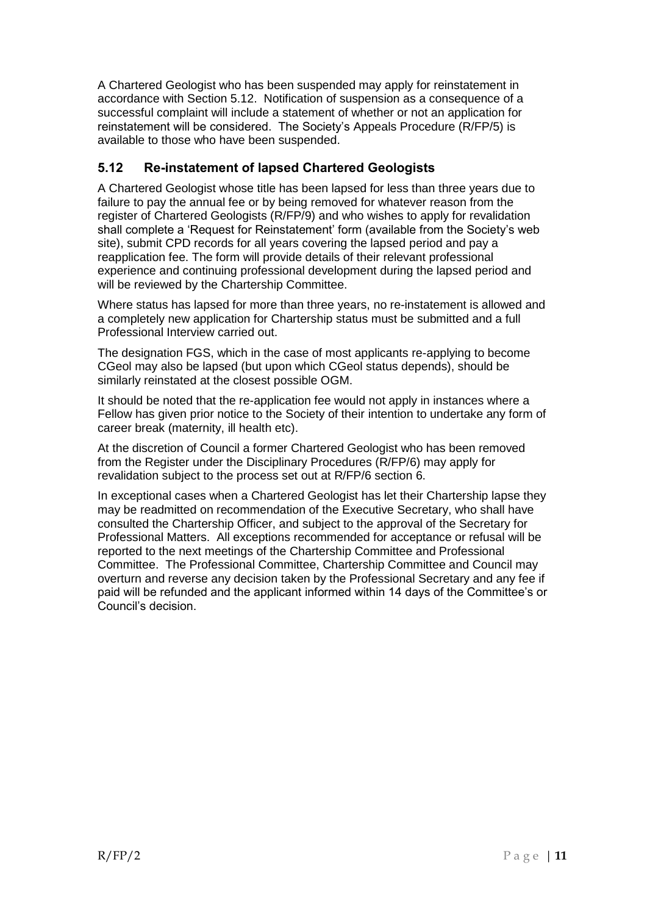A Chartered Geologist who has been suspended may apply for reinstatement in accordance with Section 5.12. Notification of suspension as a consequence of a successful complaint will include a statement of whether or not an application for reinstatement will be considered. The Society's Appeals Procedure (R/FP/5) is available to those who have been suspended.

## **5.12 Re-instatement of lapsed Chartered Geologists**

A Chartered Geologist whose title has been lapsed for less than three years due to failure to pay the annual fee or by being removed for whatever reason from the register of Chartered Geologists (R/FP/9) and who wishes to apply for revalidation shall complete a 'Request for Reinstatement' form (available from the Society's web site), submit CPD records for all years covering the lapsed period and pay a reapplication fee. The form will provide details of their relevant professional experience and continuing professional development during the lapsed period and will be reviewed by the Chartership Committee.

Where status has lapsed for more than three years, no re-instatement is allowed and a completely new application for Chartership status must be submitted and a full Professional Interview carried out.

The designation FGS, which in the case of most applicants re-applying to become CGeol may also be lapsed (but upon which CGeol status depends), should be similarly reinstated at the closest possible OGM.

It should be noted that the re-application fee would not apply in instances where a Fellow has given prior notice to the Society of their intention to undertake any form of career break (maternity, ill health etc).

At the discretion of Council a former Chartered Geologist who has been removed from the Register under the Disciplinary Procedures (R/FP/6) may apply for revalidation subject to the process set out at R/FP/6 section 6.

In exceptional cases when a Chartered Geologist has let their Chartership lapse they may be readmitted on recommendation of the Executive Secretary, who shall have consulted the Chartership Officer, and subject to the approval of the Secretary for Professional Matters. All exceptions recommended for acceptance or refusal will be reported to the next meetings of the Chartership Committee and Professional Committee. The Professional Committee, Chartership Committee and Council may overturn and reverse any decision taken by the Professional Secretary and any fee if paid will be refunded and the applicant informed within 14 days of the Committee's or Council's decision.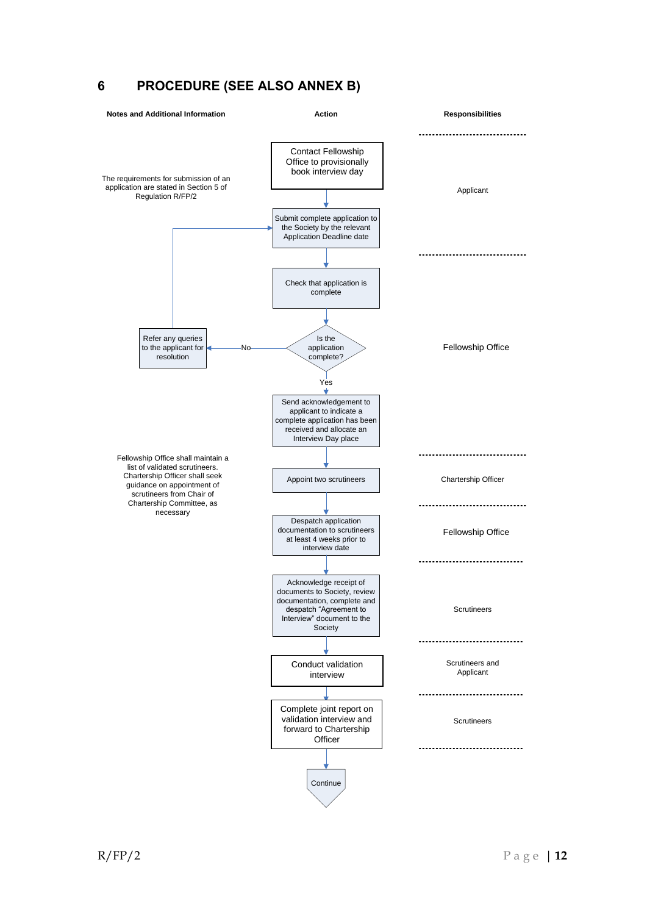#### **6 PROCEDURE (SEE ALSO ANNEX B)**

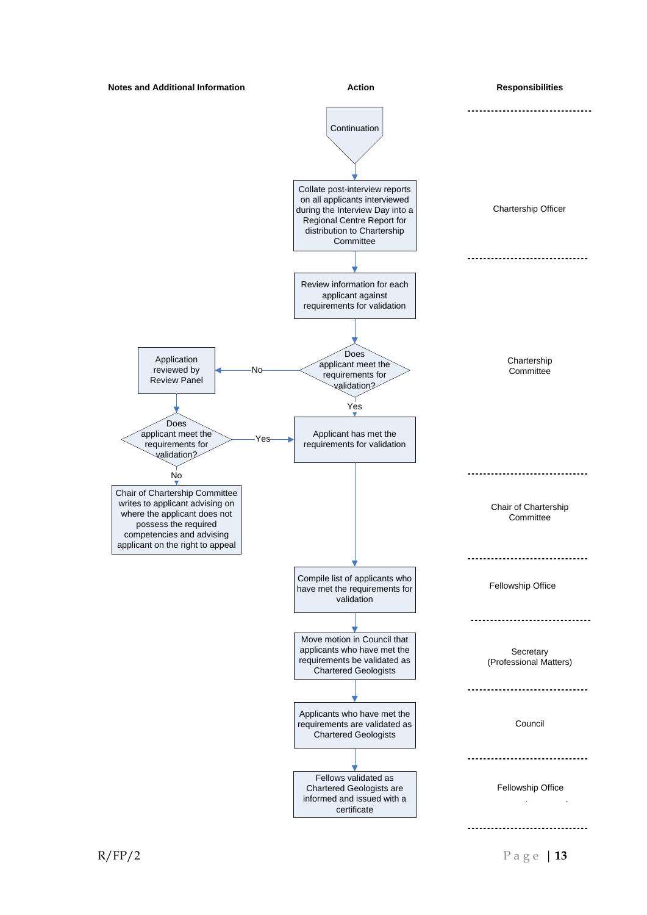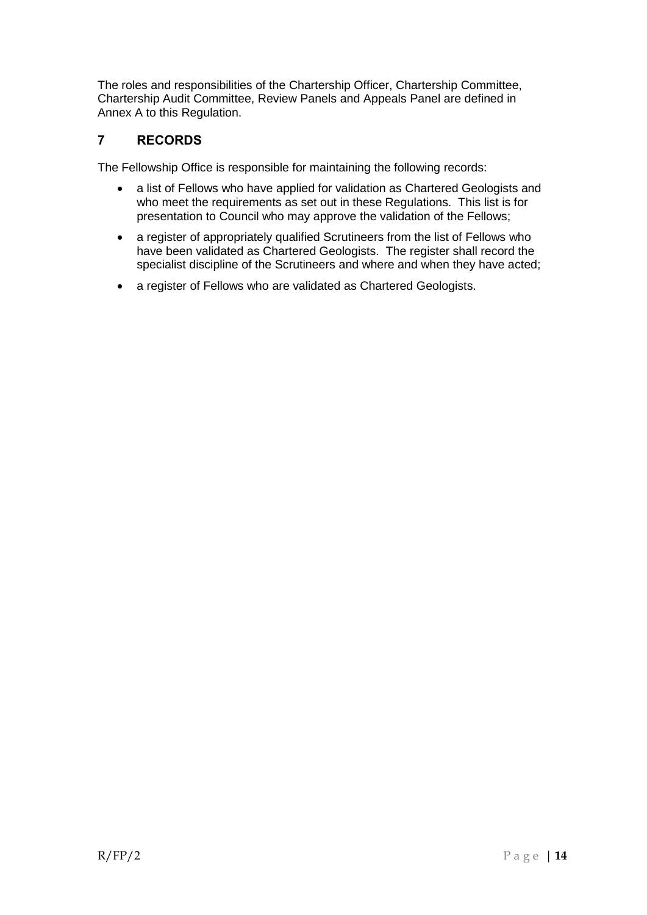The roles and responsibilities of the Chartership Officer, Chartership Committee, Chartership Audit Committee, Review Panels and Appeals Panel are defined in Annex A to this Regulation.

## **7 RECORDS**

The Fellowship Office is responsible for maintaining the following records:

- a list of Fellows who have applied for validation as Chartered Geologists and who meet the requirements as set out in these Regulations. This list is for presentation to Council who may approve the validation of the Fellows;
- a register of appropriately qualified Scrutineers from the list of Fellows who have been validated as Chartered Geologists. The register shall record the specialist discipline of the Scrutineers and where and when they have acted;
- a register of Fellows who are validated as Chartered Geologists.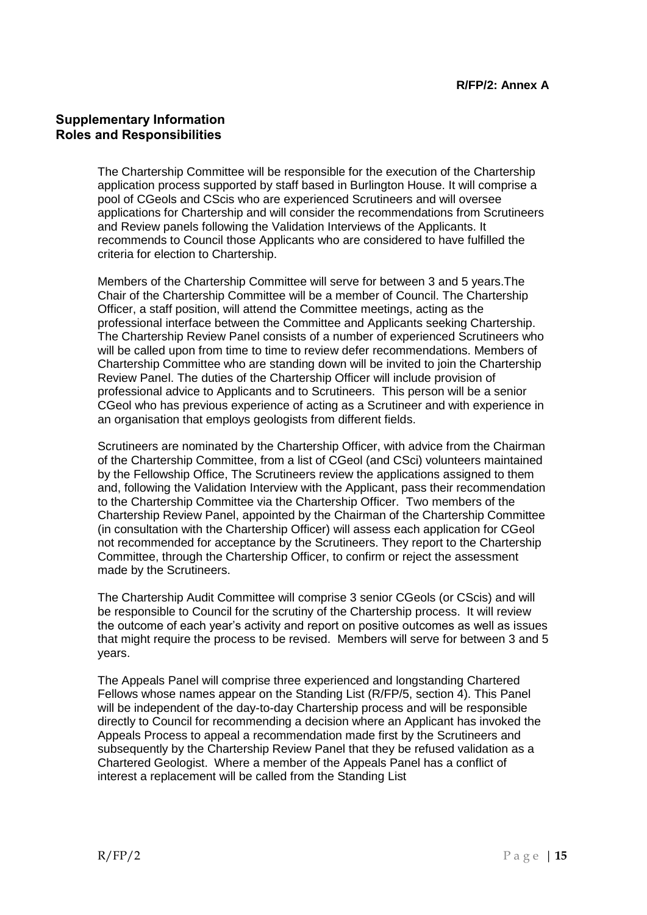### **Supplementary Information Roles and Responsibilities**

The Chartership Committee will be responsible for the execution of the Chartership application process supported by staff based in Burlington House. It will comprise a pool of CGeols and CScis who are experienced Scrutineers and will oversee applications for Chartership and will consider the recommendations from Scrutineers and Review panels following the Validation Interviews of the Applicants. It recommends to Council those Applicants who are considered to have fulfilled the criteria for election to Chartership.

Members of the Chartership Committee will serve for between 3 and 5 years.The Chair of the Chartership Committee will be a member of Council. The Chartership Officer, a staff position, will attend the Committee meetings, acting as the professional interface between the Committee and Applicants seeking Chartership. The Chartership Review Panel consists of a number of experienced Scrutineers who will be called upon from time to time to review defer recommendations. Members of Chartership Committee who are standing down will be invited to join the Chartership Review Panel. The duties of the Chartership Officer will include provision of professional advice to Applicants and to Scrutineers. This person will be a senior CGeol who has previous experience of acting as a Scrutineer and with experience in an organisation that employs geologists from different fields.

Scrutineers are nominated by the Chartership Officer, with advice from the Chairman of the Chartership Committee, from a list of CGeol (and CSci) volunteers maintained by the Fellowship Office, The Scrutineers review the applications assigned to them and, following the Validation Interview with the Applicant, pass their recommendation to the Chartership Committee via the Chartership Officer. Two members of the Chartership Review Panel, appointed by the Chairman of the Chartership Committee (in consultation with the Chartership Officer) will assess each application for CGeol not recommended for acceptance by the Scrutineers. They report to the Chartership Committee, through the Chartership Officer, to confirm or reject the assessment made by the Scrutineers.

The Chartership Audit Committee will comprise 3 senior CGeols (or CScis) and will be responsible to Council for the scrutiny of the Chartership process. It will review the outcome of each year's activity and report on positive outcomes as well as issues that might require the process to be revised. Members will serve for between 3 and 5 years.

The Appeals Panel will comprise three experienced and longstanding Chartered Fellows whose names appear on the Standing List (R/FP/5, section 4). This Panel will be independent of the day-to-day Chartership process and will be responsible directly to Council for recommending a decision where an Applicant has invoked the Appeals Process to appeal a recommendation made first by the Scrutineers and subsequently by the Chartership Review Panel that they be refused validation as a Chartered Geologist. Where a member of the Appeals Panel has a conflict of interest a replacement will be called from the Standing List